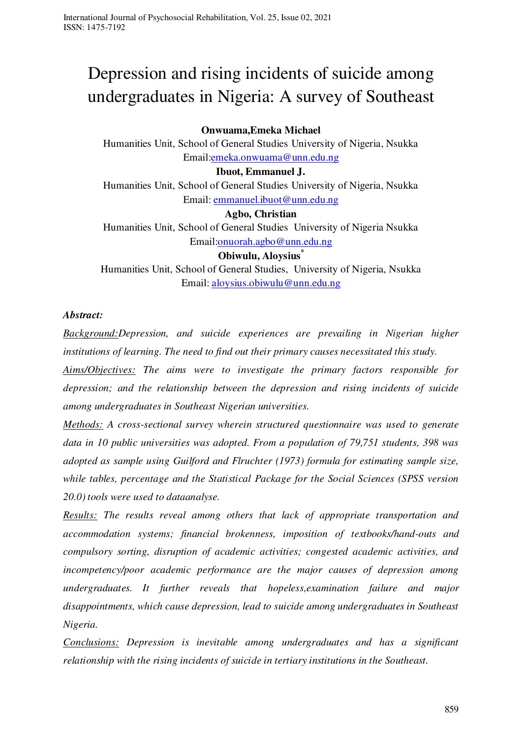# Depression and rising incidents of suicide among undergraduates in Nigeria: A survey of Southeast

# **Onwuama,Emeka Michael**

Humanities Unit, School of General Studies University of Nigeria, Nsukka Email[:emeka.onwuama@unn.edu.ng](mailto:emeka.onwuama@unn.edu.ng)

## **Ibuot, Emmanuel J.**

Humanities Unit, School of General Studies University of Nigeria, Nsukka Email: [emmanuel.ibuot@unn.edu.ng](mailto:emmanuel.ibuot@unn.edu.ng) 

## **Agbo, Christian**

Humanities Unit, School of General Studies University of Nigeria Nsukka Email[:onuorah.agbo@unn.edu.ng](mailto:onuorah.agbo@unn.edu.ng)

**Obiwulu, Aloysius\*** 

Humanities Unit, School of General Studies, University of Nigeria, Nsukka Email: [aloysius.obiwulu@unn.edu.ng](mailto:aloysius.obiwulu@unn.edu.ng)

# *Abstract:*

*Background:Depression, and suicide experiences are prevailing in Nigerian higher institutions of learning. The need to find out their primary causes necessitated this study.* 

*Aims/Objectives: The aims were to investigate the primary factors responsible for depression; and the relationship between the depression and rising incidents of suicide among undergraduates in Southeast Nigerian universities.* 

*Methods: A cross-sectional survey wherein structured questionnaire was used to generate data in 10 public universities was adopted. From a population of 79,751 students, 398 was adopted as sample using Guilford and Flruchter (1973) formula for estimating sample size, while tables, percentage and the Statistical Package for the Social Sciences (SPSS version 20.0) tools were used to dataanalyse.* 

*Results: The results reveal among others that lack of appropriate transportation and accommodation systems; financial brokenness, imposition of textbooks/hand-outs and compulsory sorting, disruption of academic activities; congested academic activities, and incompetency/poor academic performance are the major causes of depression among undergraduates. It further reveals that hopeless,examination failure and major disappointments, which cause depression, lead to suicide among undergraduates in Southeast Nigeria.* 

*Conclusions: Depression is inevitable among undergraduates and has a significant relationship with the rising incidents of suicide in tertiary institutions in the Southeast.*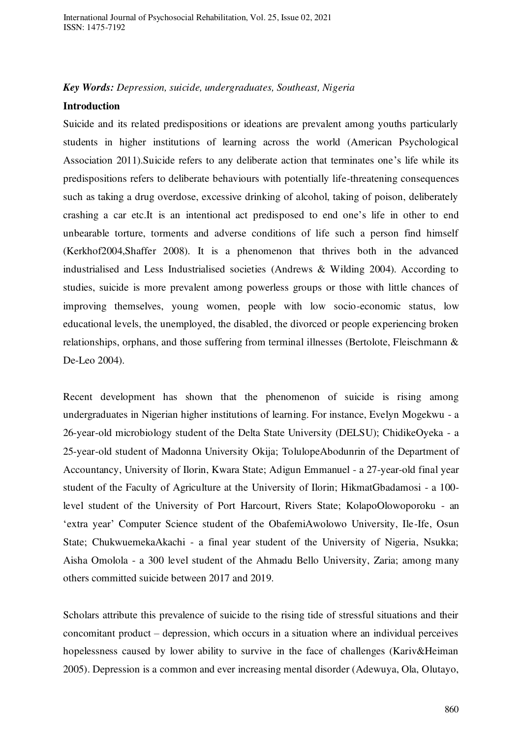#### *Key Words: Depression, suicide, undergraduates, Southeast, Nigeria*

#### **Introduction**

Suicide and its related predispositions or ideations are prevalent among youths particularly students in higher institutions of learning across the world (American Psychological Association 2011).Suicide refers to any deliberate action that terminates one's life while its predispositions refers to deliberate behaviours with potentially life-threatening consequences such as taking a drug overdose, excessive drinking of alcohol, taking of poison, deliberately crashing a car etc.It is an intentional act predisposed to end one's life in other to end unbearable torture, torments and adverse conditions of life such a person find himself (Kerkhof2004,Shaffer 2008). It is a phenomenon that thrives both in the advanced industrialised and Less Industrialised societies (Andrews & Wilding 2004). According to studies, suicide is more prevalent among powerless groups or those with little chances of improving themselves, young women, people with low socio-economic status, low educational levels, the unemployed, the disabled, the divorced or people experiencing broken relationships, orphans, and those suffering from terminal illnesses (Bertolote, Fleischmann & De-Leo 2004).

Recent development has shown that the phenomenon of suicide is rising among undergraduates in Nigerian higher institutions of learning. For instance, Evelyn Mogekwu - a 26-year-old microbiology student of the Delta State University (DELSU); ChidikeOyeka - a 25-year-old student of Madonna University Okija; TolulopeAbodunrin of the Department of Accountancy, University of Ilorin, Kwara State; Adigun Emmanuel - a 27-year-old final year student of the Faculty of Agriculture at the University of Ilorin; HikmatGbadamosi - a 100 level student of the University of Port Harcourt, Rivers State; KolapoOlowoporoku - an 'extra year' Computer Science student of the ObafemiAwolowo University, Ile-Ife, Osun State; ChukwuemekaAkachi - a final year student of the University of Nigeria, Nsukka; Aisha Omolola - a 300 level student of the Ahmadu Bello University, Zaria; among many others committed suicide between 2017 and 2019.

Scholars attribute this prevalence of suicide to the rising tide of stressful situations and their concomitant product – depression, which occurs in a situation where an individual perceives hopelessness caused by lower ability to survive in the face of challenges (Kariv&Heiman 2005). Depression is a common and ever increasing mental disorder (Adewuya, Ola, Olutayo,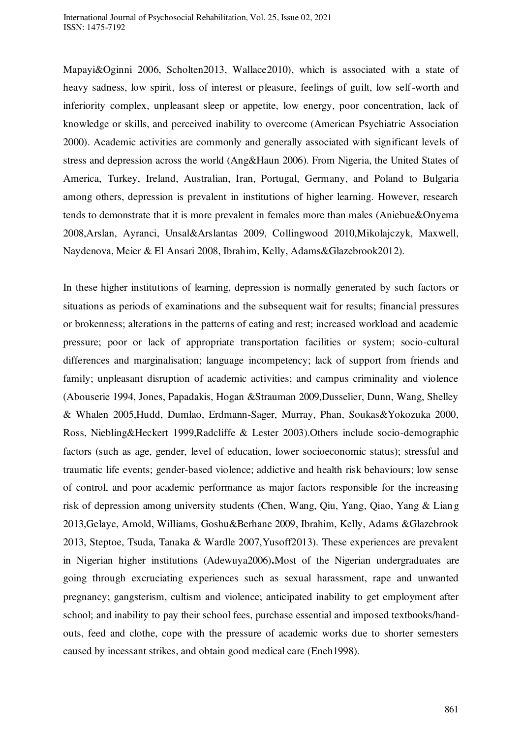Mapayi&Oginni 2006, Scholten2013, Wallace2010), which is associated with a state of heavy sadness, low spirit, loss of interest or pleasure, feelings of guilt, low self-worth and inferiority complex, unpleasant sleep or appetite, low energy, poor concentration, lack of knowledge or skills, and perceived inability to overcome (American Psychiatric Association 2000). Academic activities are commonly and generally associated with significant levels of stress and depression across the world (Ang&Haun 2006). From Nigeria, the United States of America, Turkey, Ireland, Australian, Iran, Portugal, Germany, and Poland to Bulgaria among others, depression is prevalent in institutions of higher learning. However, research tends to demonstrate that it is more prevalent in females more than males (Aniebue&Onyema 2008,Arslan, Ayranci, Unsal&Arslantas 2009, Collingwood 2010,Mikolajczyk, Maxwell, Naydenova, Meier & El Ansari 2008, Ibrahim, Kelly, Adams&Glazebrook2012).

In these higher institutions of learning, depression is normally generated by such factors or situations as periods of examinations and the subsequent wait for results; financial pressures or brokenness; alterations in the patterns of eating and rest; increased workload and academic pressure; poor or lack of appropriate transportation facilities or system; socio-cultural differences and marginalisation; language incompetency; lack of support from friends and family; unpleasant disruption of academic activities; and campus criminality and violence (Abouserie 1994, Jones, Papadakis, Hogan &Strauman 2009,Dusselier, Dunn, Wang, Shelley & Whalen 2005,Hudd, Dumlao, Erdmann-Sager, Murray, Phan, Soukas&Yokozuka 2000, Ross, Niebling&Heckert 1999,Radcliffe & Lester 2003).Others include socio-demographic factors (such as age, gender, level of education, lower socioeconomic status); stressful and traumatic life events; gender-based violence; addictive and health risk behaviours; low sense of control, and poor academic performance as major factors responsible for the increasing risk of depression among university students (Chen, Wang, Qiu, Yang, Qiao, Yang & Lian g 2013,Gelaye, Arnold, Williams, Goshu&Berhane 2009, Ibrahim, Kelly, Adams &Glazebrook 2013, Steptoe, Tsuda, Tanaka & Wardle 2007,Yusoff2013). These experiences are prevalent in Nigerian higher institutions (Adewuya2006)**.**Most of the Nigerian undergraduates are going through excruciating experiences such as sexual harassment, rape and unwanted pregnancy; gangsterism, cultism and violence; anticipated inability to get employment after school; and inability to pay their school fees, purchase essential and imposed textbooks/handouts, feed and clothe, cope with the pressure of academic works due to shorter semesters caused by incessant strikes, and obtain good medical care (Eneh1998).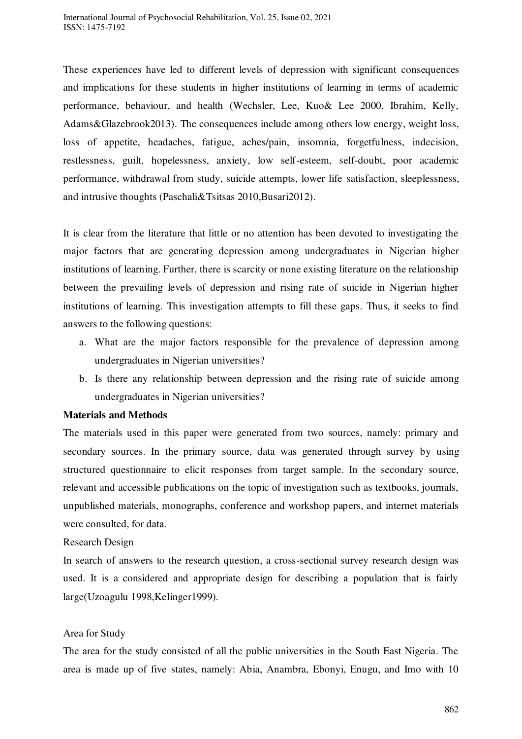These experiences have led to different levels of depression with significant consequences and implications for these students in higher institutions of learning in terms of academic performance, behaviour, and health (Wechsler, Lee, Kuo& Lee 2000, Ibrahim, Kelly, Adams&Glazebrook2013). The consequences include among others low energy, weight loss, loss of appetite, headaches, fatigue, aches/pain, insomnia, forgetfulness, indecision, restlessness, guilt, hopelessness, anxiety, low self-esteem, self-doubt, poor academic performance, withdrawal from study, suicide attempts, lower life satisfaction, sleeplessness, and intrusive thoughts (Paschali&Tsitsas 2010,Busari2012).

It is clear from the literature that little or no attention has been devoted to investigating the major factors that are generating depression among undergraduates in Nigerian higher institutions of learning. Further, there is scarcity or none existing literature on the relationship between the prevailing levels of depression and rising rate of suicide in Nigerian higher institutions of learning. This investigation attempts to fill these gaps. Thus, it seeks to find answers to the following questions:

- a. What are the major factors responsible for the prevalence of depression among undergraduates in Nigerian universities?
- b. Is there any relationship between depression and the rising rate of suicide among undergraduates in Nigerian universities?

## **Materials and Methods**

The materials used in this paper were generated from two sources, namely: primary and secondary sources. In the primary source, data was generated through survey by using structured questionnaire to elicit responses from target sample. In the secondary source, relevant and accessible publications on the topic of investigation such as textbooks, journals, unpublished materials, monographs, conference and workshop papers, and internet materials were consulted, for data.

#### Research Design

In search of answers to the research question, a cross-sectional survey research design was used. It is a considered and appropriate design for describing a population that is fairly large(Uzoagulu 1998,Kelinger1999).

#### Area for Study

The area for the study consisted of all the public universities in the South East Nigeria. The area is made up of five states, namely: Abia, Anambra, Ebonyi, Enugu, and Imo with 10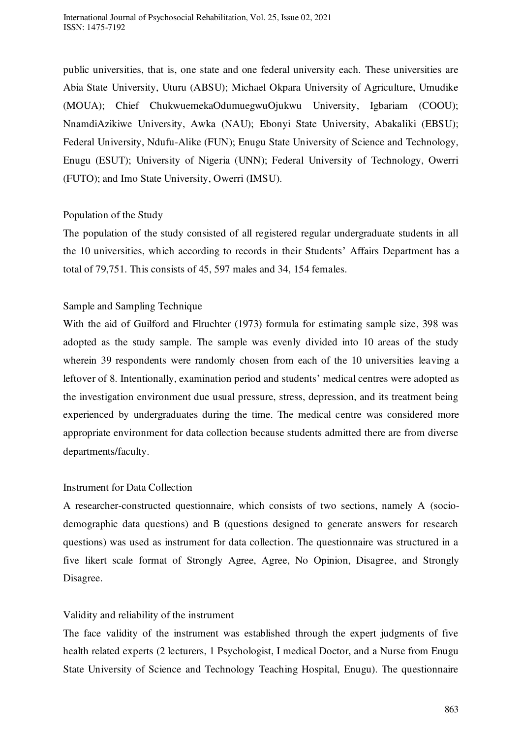public universities, that is, one state and one federal university each. These universities are Abia State University, Uturu (ABSU); Michael Okpara University of Agriculture, Umudike (MOUA); Chief ChukwuemekaOdumuegwuOjukwu University, Igbariam (COOU); NnamdiAzikiwe University, Awka (NAU); Ebonyi State University, Abakaliki (EBSU); Federal University, Ndufu-Alike (FUN); Enugu State University of Science and Technology, Enugu (ESUT); University of Nigeria (UNN); Federal University of Technology, Owerri (FUTO); and Imo State University, Owerri (IMSU).

## Population of the Study

The population of the study consisted of all registered regular undergraduate students in all the 10 universities, which according to records in their Students' Affairs Department has a total of 79,751. This consists of 45, 597 males and 34, 154 females.

# Sample and Sampling Technique

With the aid of Guilford and Flruchter (1973) formula for estimating sample size, 398 was adopted as the study sample. The sample was evenly divided into 10 areas of the study wherein 39 respondents were randomly chosen from each of the 10 universities leaving a leftover of 8. Intentionally, examination period and students' medical centres were adopted as the investigation environment due usual pressure, stress, depression, and its treatment being experienced by undergraduates during the time. The medical centre was considered more appropriate environment for data collection because students admitted there are from diverse departments/faculty.

# Instrument for Data Collection

A researcher-constructed questionnaire, which consists of two sections, namely A (sociodemographic data questions) and B (questions designed to generate answers for research questions) was used as instrument for data collection. The questionnaire was structured in a five likert scale format of Strongly Agree, Agree, No Opinion, Disagree, and Strongly Disagree.

# Validity and reliability of the instrument

The face validity of the instrument was established through the expert judgments of five health related experts (2 lecturers, 1 Psychologist, I medical Doctor, and a Nurse from Enugu State University of Science and Technology Teaching Hospital, Enugu). The questionnaire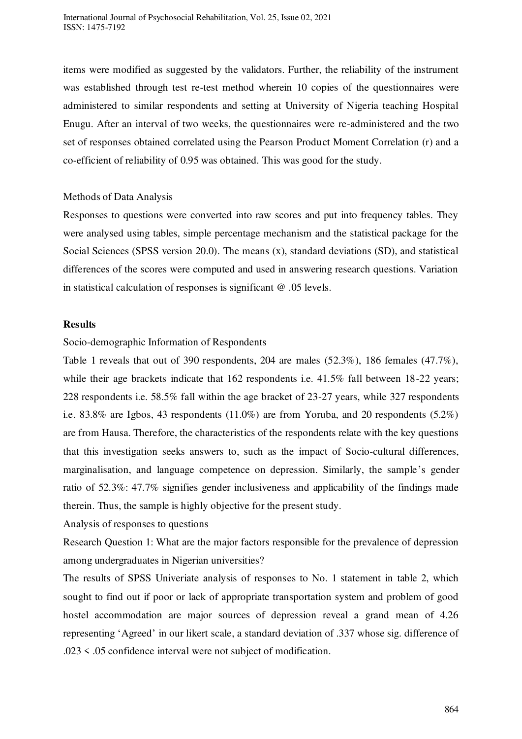items were modified as suggested by the validators. Further, the reliability of the instrument was established through test re-test method wherein 10 copies of the questionnaires were administered to similar respondents and setting at University of Nigeria teaching Hospital Enugu. After an interval of two weeks, the questionnaires were re-administered and the two set of responses obtained correlated using the Pearson Product Moment Correlation (r) and a co-efficient of reliability of 0.95 was obtained. This was good for the study.

### Methods of Data Analysis

Responses to questions were converted into raw scores and put into frequency tables. They were analysed using tables, simple percentage mechanism and the statistical package for the Social Sciences (SPSS version 20.0). The means (x), standard deviations (SD), and statistical differences of the scores were computed and used in answering research questions. Variation in statistical calculation of responses is significant @ .05 levels.

### **Results**

#### Socio-demographic Information of Respondents

Table 1 reveals that out of 390 respondents, 204 are males (52.3%), 186 females (47.7%), while their age brackets indicate that 162 respondents i.e. 41.5% fall between 18-22 years; 228 respondents i.e. 58.5% fall within the age bracket of 23-27 years, while 327 respondents i.e. 83.8% are Igbos, 43 respondents (11.0%) are from Yoruba, and 20 respondents (5.2%) are from Hausa. Therefore, the characteristics of the respondents relate with the key questions that this investigation seeks answers to, such as the impact of Socio-cultural differences, marginalisation, and language competence on depression. Similarly, the sample's gender ratio of 52.3%: 47.7% signifies gender inclusiveness and applicability of the findings made therein. Thus, the sample is highly objective for the present study.

Analysis of responses to questions

Research Question 1: What are the major factors responsible for the prevalence of depression among undergraduates in Nigerian universities?

The results of SPSS Univeriate analysis of responses to No. 1 statement in table 2, which sought to find out if poor or lack of appropriate transportation system and problem of good hostel accommodation are major sources of depression reveal a grand mean of 4.26 representing 'Agreed' in our likert scale, a standard deviation of .337 whose sig. difference of .023 < .05 confidence interval were not subject of modification.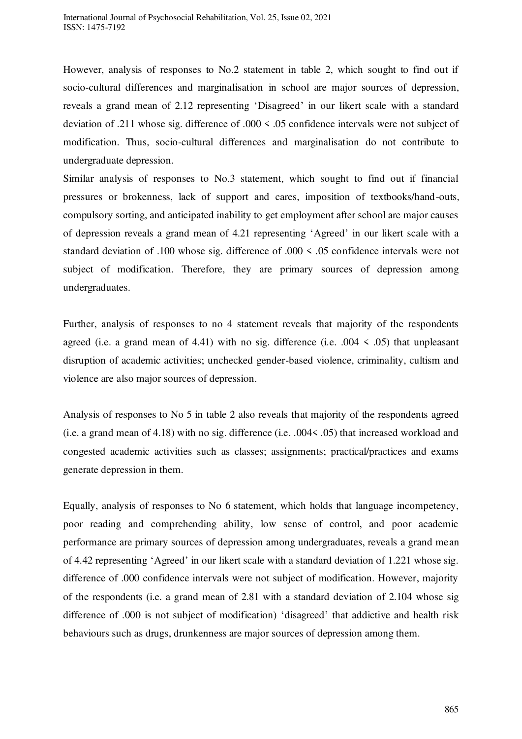However, analysis of responses to No.2 statement in table 2, which sought to find out if socio-cultural differences and marginalisation in school are major sources of depression, reveals a grand mean of 2.12 representing 'Disagreed' in our likert scale with a standard deviation of .211 whose sig. difference of .000 < .05 confidence intervals were not subject of modification. Thus, socio-cultural differences and marginalisation do not contribute to undergraduate depression.

Similar analysis of responses to No.3 statement, which sought to find out if financial pressures or brokenness, lack of support and cares, imposition of textbooks/hand-outs, compulsory sorting, and anticipated inability to get employment after school are major causes of depression reveals a grand mean of 4.21 representing 'Agreed' in our likert scale with a standard deviation of .100 whose sig. difference of .000 < .05 confidence intervals were not subject of modification. Therefore, they are primary sources of depression among undergraduates.

Further, analysis of responses to no 4 statement reveals that majority of the respondents agreed (i.e. a grand mean of 4.41) with no sig. difference (i.e.  $.004 \le .05$ ) that unpleasant disruption of academic activities; unchecked gender-based violence, criminality, cultism and violence are also major sources of depression.

Analysis of responses to No 5 in table 2 also reveals that majority of the respondents agreed (i.e. a grand mean of 4.18) with no sig. difference (i.e. .004< .05) that increased workload and congested academic activities such as classes; assignments; practical/practices and exams generate depression in them.

Equally, analysis of responses to No 6 statement, which holds that language incompetency, poor reading and comprehending ability, low sense of control, and poor academic performance are primary sources of depression among undergraduates, reveals a grand mean of 4.42 representing 'Agreed' in our likert scale with a standard deviation of 1.221 whose sig. difference of .000 confidence intervals were not subject of modification. However, majority of the respondents (i.e. a grand mean of 2.81 with a standard deviation of 2.104 whose sig difference of .000 is not subject of modification) 'disagreed' that addictive and health risk behaviours such as drugs, drunkenness are major sources of depression among them.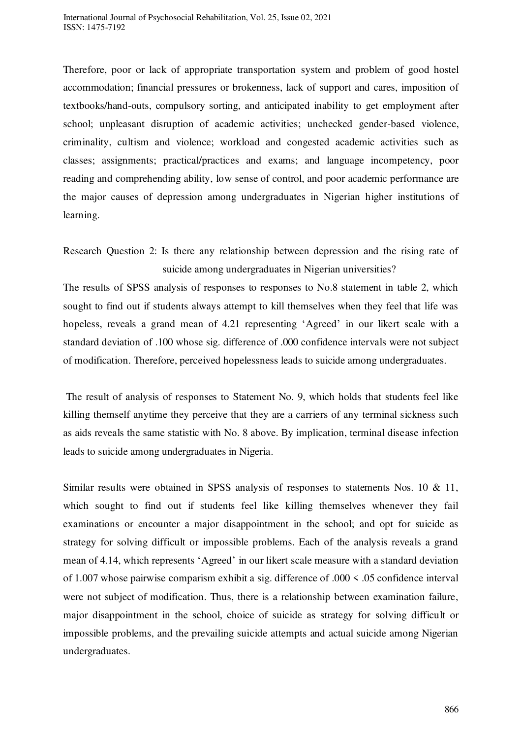Therefore, poor or lack of appropriate transportation system and problem of good hostel accommodation; financial pressures or brokenness, lack of support and cares, imposition of textbooks/hand-outs, compulsory sorting, and anticipated inability to get employment after school; unpleasant disruption of academic activities; unchecked gender-based violence, criminality, cultism and violence; workload and congested academic activities such as classes; assignments; practical/practices and exams; and language incompetency, poor reading and comprehending ability, low sense of control, and poor academic performance are the major causes of depression among undergraduates in Nigerian higher institutions of learning.

The results of SPSS analysis of responses to responses to No.8 statement in table 2, which sought to find out if students always attempt to kill themselves when they feel that life was hopeless, reveals a grand mean of 4.21 representing 'Agreed' in our likert scale with a standard deviation of .100 whose sig. difference of .000 confidence intervals were not subject of modification. Therefore, perceived hopelessness leads to suicide among undergraduates.

 The result of analysis of responses to Statement No. 9, which holds that students feel like killing themself anytime they perceive that they are a carriers of any terminal sickness such as aids reveals the same statistic with No. 8 above. By implication, terminal disease infection leads to suicide among undergraduates in Nigeria.

Similar results were obtained in SPSS analysis of responses to statements Nos. 10 & 11, which sought to find out if students feel like killing themselves whenever they fail examinations or encounter a major disappointment in the school; and opt for suicide as strategy for solving difficult or impossible problems. Each of the analysis reveals a grand mean of 4.14, which represents 'Agreed' in our likert scale measure with a standard deviation of 1.007 whose pairwise comparism exhibit a sig. difference of .000 < .05 confidence interval were not subject of modification. Thus, there is a relationship between examination failure, major disappointment in the school, choice of suicide as strategy for solving difficult or impossible problems, and the prevailing suicide attempts and actual suicide among Nigerian undergraduates.

Research Question 2: Is there any relationship between depression and the rising rate of suicide among undergraduates in Nigerian universities?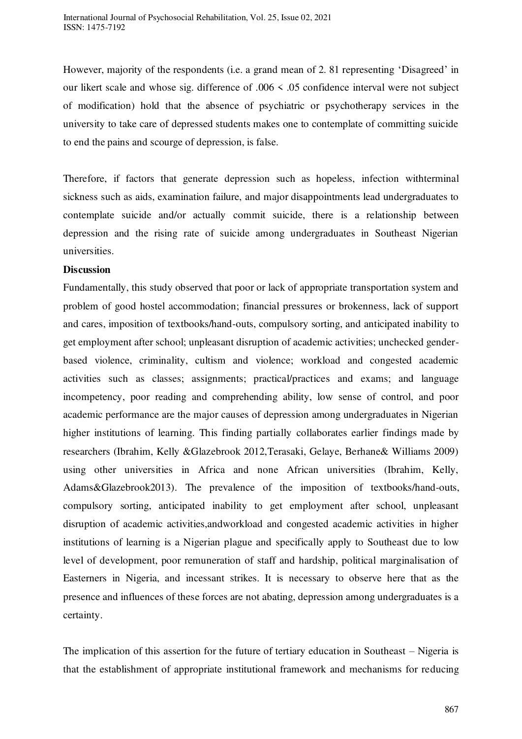However, majority of the respondents (i.e. a grand mean of 2. 81 representing 'Disagreed' in our likert scale and whose sig. difference of .006 < .05 confidence interval were not subject of modification) hold that the absence of psychiatric or psychotherapy services in the university to take care of depressed students makes one to contemplate of committing suicide to end the pains and scourge of depression, is false.

Therefore, if factors that generate depression such as hopeless, infection withterminal sickness such as aids, examination failure, and major disappointments lead undergraduates to contemplate suicide and/or actually commit suicide, there is a relationship between depression and the rising rate of suicide among undergraduates in Southeast Nigerian universities.

#### **Discussion**

Fundamentally, this study observed that poor or lack of appropriate transportation system and problem of good hostel accommodation; financial pressures or brokenness, lack of support and cares, imposition of textbooks/hand-outs, compulsory sorting, and anticipated inability to get employment after school; unpleasant disruption of academic activities; unchecked genderbased violence, criminality, cultism and violence; workload and congested academic activities such as classes; assignments; practical/practices and exams; and language incompetency, poor reading and comprehending ability, low sense of control, and poor academic performance are the major causes of depression among undergraduates in Nigerian higher institutions of learning. This finding partially collaborates earlier findings made by researchers (Ibrahim, Kelly &Glazebrook 2012,Terasaki, Gelaye, Berhane& Williams 2009) using other universities in Africa and none African universities (Ibrahim, Kelly, Adams&Glazebrook2013). The prevalence of the imposition of textbooks/hand-outs, compulsory sorting, anticipated inability to get employment after school, unpleasant disruption of academic activities,andworkload and congested academic activities in higher institutions of learning is a Nigerian plague and specifically apply to Southeast due to low level of development, poor remuneration of staff and hardship, political marginalisation of Easterners in Nigeria, and incessant strikes. It is necessary to observe here that as the presence and influences of these forces are not abating, depression among undergraduates is a certainty.

The implication of this assertion for the future of tertiary education in Southeast – Nigeria is that the establishment of appropriate institutional framework and mechanisms for reducing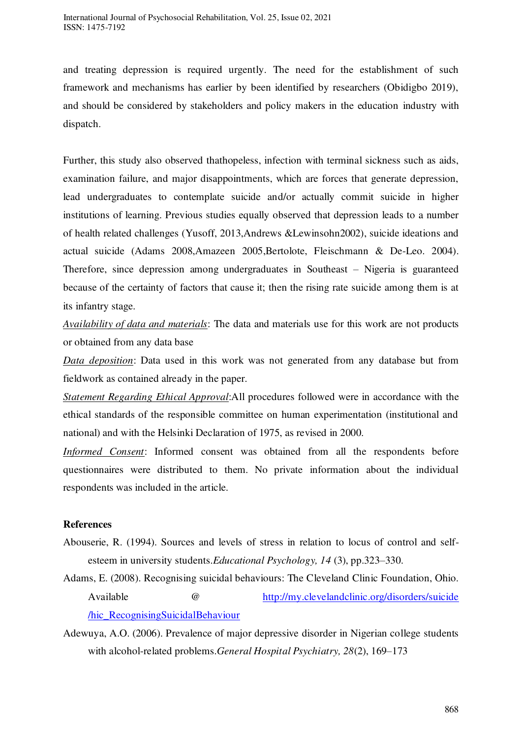and treating depression is required urgently. The need for the establishment of such framework and mechanisms has earlier by been identified by researchers (Obidigbo 2019), and should be considered by stakeholders and policy makers in the education industry with dispatch.

Further, this study also observed thathopeless, infection with terminal sickness such as aids, examination failure, and major disappointments, which are forces that generate depression, lead undergraduates to contemplate suicide and/or actually commit suicide in higher institutions of learning. Previous studies equally observed that depression leads to a number of health related challenges (Yusoff, 2013,Andrews &Lewinsohn2002), suicide ideations and actual suicide (Adams 2008,Amazeen 2005,Bertolote, Fleischmann & De-Leo. 2004). Therefore, since depression among undergraduates in Southeast – Nigeria is guaranteed because of the certainty of factors that cause it; then the rising rate suicide among them is at its infantry stage.

*Availability of data and materials*: The data and materials use for this work are not products or obtained from any data base

*Data deposition*: Data used in this work was not generated from any database but from fieldwork as contained already in the paper.

*Statement Regarding Ethical Approval*:All procedures followed were in accordance with the ethical standards of the responsible committee on human experimentation (institutional and national) and with the Helsinki Declaration of 1975, as revised in 2000.

*Informed Consent*: Informed consent was obtained from all the respondents before questionnaires were distributed to them. No private information about the individual respondents was included in the article.

## **References**

- Abouserie, R. (1994). Sources and levels of stress in relation to locus of control and selfesteem in university students.*Educational Psychology, 14* (3), pp.323–330.
- Adams, E. (2008). Recognising suicidal behaviours: The Cleveland Clinic Foundation, Ohio. Available @ [http://my.clevelandclinic.org/disorders/suicide](http://my.clevelandclinic.org/disorders/suicide%20/hic_RecognisingSuicidalBehaviour)  [/hic\\_RecognisingSuicidalBehaviour](http://my.clevelandclinic.org/disorders/suicide%20/hic_RecognisingSuicidalBehaviour)
- Adewuya, A.O. (2006). Prevalence of major depressive disorder in Nigerian college students with alcohol-related problems.*General Hospital Psychiatry, 28*(2), 169–173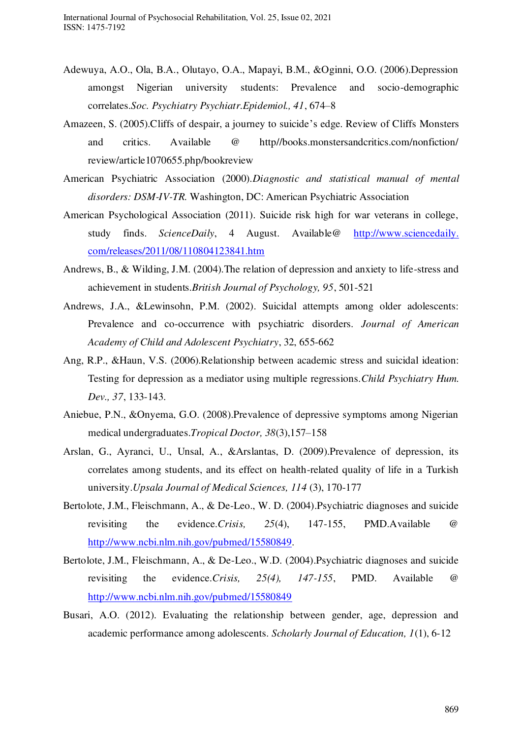- Adewuya, A.O., Ola, B.A., Olutayo, O.A., Mapayi, B.M., &Oginni, O.O. (2006).Depression amongst Nigerian university students: Prevalence and socio-demographic correlates.*Soc. Psychiatry Psychiatr.Epidemiol., 41*, 674–8
- Amazeen, S. (2005).Cliffs of despair, a journey to suicide's edge. Review of Cliffs Monsters and critics. Available @ http//books.monstersandcritics.com/nonfiction/ review/article1070655.php/bookreview
- American Psychiatric Association (2000).*Diagnostic and statistical manual of mental disorders: DSM-IV-TR.* Washington, DC: American Psychiatric Association
- American Psychological Association (2011). Suicide risk high for war veterans in college, study finds. *ScienceDaily*, 4 August. Available@ http://www.sciencedaily. com/releases/2011/08/110804123841.htm
- Andrews, B., & Wilding, J.M. (2004).The relation of depression and anxiety to life-stress and achievement in students.*British Journal of Psychology, 95*, 501-521
- Andrews, J.A., &Lewinsohn, P.M. (2002). Suicidal attempts among older adolescents: Prevalence and co-occurrence with psychiatric disorders. *Journal of American Academy of Child and Adolescent Psychiatry*, 32, 655-662
- Ang, R.P., &Haun, V.S. (2006).Relationship between academic stress and suicidal ideation: Testing for depression as a mediator using multiple regressions.*Child Psychiatry Hum. Dev., 37*, 133-143.
- Aniebue, P.N., &Onyema, G.O. (2008).Prevalence of depressive symptoms among Nigerian medical undergraduates.*Tropical Doctor, 38*(3),157–158
- Arslan, G., Ayranci, U., Unsal, A., &Arslantas, D. (2009).Prevalence of depression, its correlates among students, and its effect on health-related quality of life in a Turkish university.*Upsala Journal of Medical Sciences, 114* (3), 170-177
- Bertolote, J.M., Fleischmann, A., & De-Leo., W. D. (2004).Psychiatric diagnoses and suicide revisiting the evidence.*Crisis, 25*(4), 147-155, PMD.Available @ [http://www.ncbi.nlm.nih.gov/pubmed/15580849.](http://www.ncbi.nlm.nih.gov/pubmed/15580849)
- Bertolote, J.M., Fleischmann, A., & De-Leo., W.D. (2004).Psychiatric diagnoses and suicide revisiting the evidence.*Crisis, 25(4), 147-155*, PMD. Available @ <http://www.ncbi.nlm.nih.gov/pubmed/15580849>
- Busari, A.O. (2012). Evaluating the relationship between gender, age, depression and academic performance among adolescents. *Scholarly Journal of Education, 1*(1), 6-12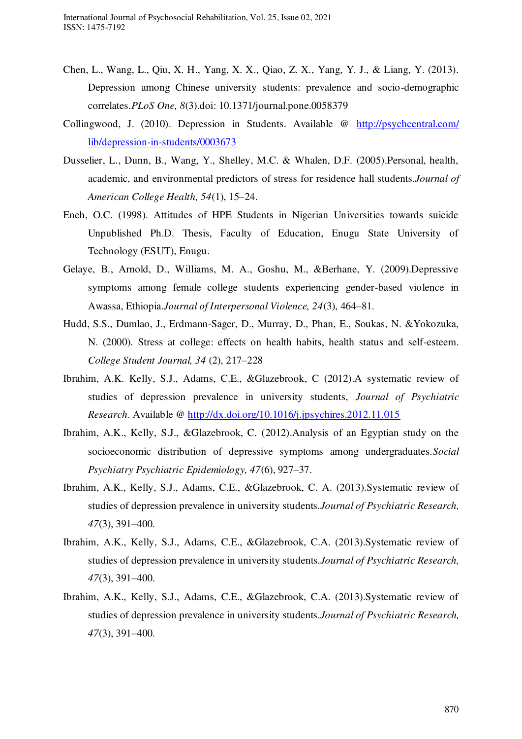- Chen, L., Wang, L., Qiu, X. H., Yang, X. X., Qiao, Z. X., Yang, Y. J., & Liang, Y. (2013). Depression among Chinese university students: prevalence and socio-demographic correlates.*PLoS One, 8*(3).doi: 10.1371/journal.pone.0058379
- Collingwood, J. (2010). Depression in Students. Available @ [http://psychcentral.com/](http://psychcentral.com/%20lib/depression-in-students/0003673)  [lib/depression-in-students/0003673](http://psychcentral.com/%20lib/depression-in-students/0003673)
- Dusselier, L., Dunn, B., Wang, Y., Shelley, M.C. & Whalen, D.F. (2005).Personal, health, academic, and environmental predictors of stress for residence hall students.*Journal of American College Health, 54*(1), 15–24.
- Eneh, O.C. (1998). Attitudes of HPE Students in Nigerian Universities towards suicide Unpublished Ph.D. Thesis, Faculty of Education, Enugu State University of Technology (ESUT), Enugu.
- Gelaye, B., Arnold, D., Williams, M. A., Goshu, M., &Berhane, Y. (2009).Depressive symptoms among female college students experiencing gender-based violence in Awassa, Ethiopia.*Journal of Interpersonal Violence, 24*(3), 464–81.
- Hudd, S.S., Dumlao, J., Erdmann-Sager, D., Murray, D., Phan, E., Soukas, N. &Yokozuka, N. (2000). Stress at college: effects on health habits, health status and self-esteem. *College Student Journal, 34* (2), 217–228
- Ibrahim, A.K. Kelly, S.J., Adams, C.E., &Glazebrook, C (2012).A systematic review of studies of depression prevalence in university students, *Journal of Psychiatric Research*. Available @<http://dx.doi.org/10.1016/j.jpsychires.2012.11.015>
- Ibrahim, A.K., Kelly, S.J., &Glazebrook, C. (2012).Analysis of an Egyptian study on the socioeconomic distribution of depressive symptoms among undergraduates.*Social Psychiatry Psychiatric Epidemiology, 47*(6), 927–37.
- Ibrahim, A.K., Kelly, S.J., Adams, C.E., &Glazebrook, C. A. (2013).Systematic review of studies of depression prevalence in university students.*Journal of Psychiatric Research, 47*(3), 391–400.
- Ibrahim, A.K., Kelly, S.J., Adams, C.E., &Glazebrook, C.A. (2013).Systematic review of studies of depression prevalence in university students.*Journal of Psychiatric Research, 47*(3), 391–400.
- Ibrahim, A.K., Kelly, S.J., Adams, C.E., &Glazebrook, C.A. (2013).Systematic review of studies of depression prevalence in university students.*Journal of Psychiatric Research, 47*(3), 391–400.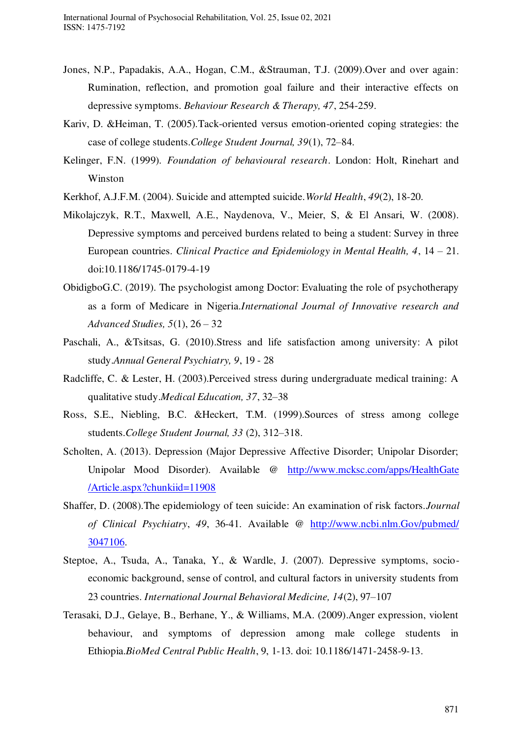- Jones, N.P., Papadakis, A.A., Hogan, C.M., &Strauman, T.J. (2009).Over and over again: Rumination, reflection, and promotion goal failure and their interactive effects on depressive symptoms. *Behaviour Research & Therapy, 47*, 254-259.
- Kariv, D. &Heiman, T. (2005).Tack-oriented versus emotion-oriented coping strategies: the case of college students.*College Student Journal, 39*(1), 72–84.
- Kelinger, F.N. (1999). *Foundation of behavioural research*. London: Holt, Rinehart and Winston
- Kerkhof, A.J.F.M. (2004). Suicide and attempted suicide.*World Health*, *49*(2), 18-20.
- Mikolajczyk, R.T., Maxwell, A.E., Naydenova, V., Meier, S, & El Ansari, W. (2008). Depressive symptoms and perceived burdens related to being a student: Survey in three European countries. *Clinical Practice and Epidemiology in Mental Health, 4*, 14 – 21. doi:10.1186/1745-0179-4-19
- ObidigboG.C. (2019). The psychologist among Doctor: Evaluating the role of psychotherapy as a form of Medicare in Nigeria.*International Journal of Innovative research and Advanced Studies, 5*(1), 26 – 32
- Paschali, A., &Tsitsas, G. (2010).Stress and life satisfaction among university: A pilot study.*Annual General Psychiatry, 9*, 19 - 28
- Radcliffe, C. & Lester, H. (2003).Perceived stress during undergraduate medical training: A qualitative study.*Medical Education, 37*, 32–38
- Ross, S.E., Niebling, B.C. &Heckert, T.M. (1999).Sources of stress among college students.*College Student Journal, 33* (2), 312–318.
- Scholten, A. (2013). Depression (Major Depressive Affective Disorder; Unipolar Disorder; Unipolar Mood Disorder). Available @ [http://www.mcksc.com/apps/HealthGate](http://www.mcksc.com/apps/HealthGate%20/Article.aspx?chunkiid=11908)  [/Article.aspx?chunkiid=11908](http://www.mcksc.com/apps/HealthGate%20/Article.aspx?chunkiid=11908)
- Shaffer, D. (2008).The epidemiology of teen suicide: An examination of risk factors.*Journal of Clinical Psychiatry*, *49*, 36-41. Available @ [http://www.ncbi.nlm.Gov/pubmed/](http://www.ncbi.nlm.gov/pubmed/%203047106)  [3047106.](http://www.ncbi.nlm.gov/pubmed/%203047106)
- Steptoe, A., Tsuda, A., Tanaka, Y., & Wardle, J. (2007). Depressive symptoms, socioeconomic background, sense of control, and cultural factors in university students from 23 countries. *International Journal Behavioral Medicine, 14*(2), 97–107
- Terasaki, D.J., Gelaye, B., Berhane, Y., & Williams, M.A. (2009).Anger expression, violent behaviour, and symptoms of depression among male college students in Ethiopia.*BioMed Central Public Health*, 9, 1-13. doi: 10.1186/1471-2458-9-13.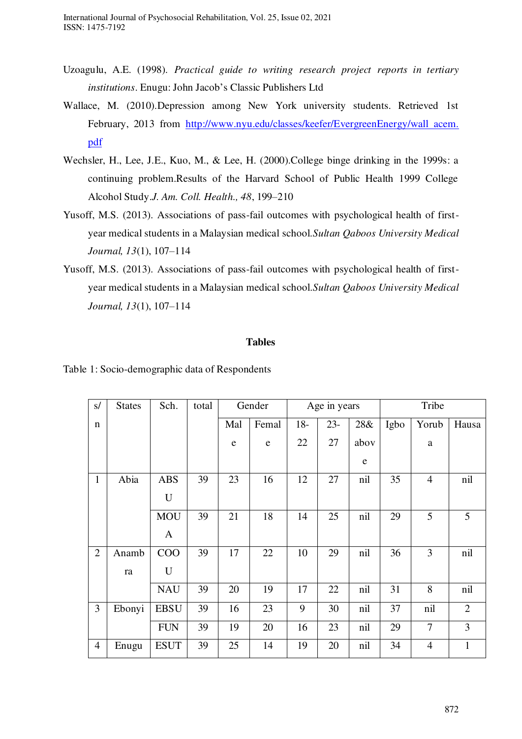International Journal of Psychosocial Rehabilitation, Vol. 25, Issue 02, 2021 ISSN: 1475-7192

- Uzoagulu, A.E. (1998). *Practical guide to writing research project reports in tertiary institutions*. Enugu: John Jacob's Classic Publishers Ltd
- Wallace, M. (2010).Depression among New York university students. Retrieved 1st February, 2013 from [http://www.nyu.edu/classes/keefer/EvergreenEnergy/wall acem.](http://www.nyu.edu/classes/keefer/EvergreenEnergy/wall%20acem.%20pdf)  [pdf](http://www.nyu.edu/classes/keefer/EvergreenEnergy/wall%20acem.%20pdf)
- Wechsler, H., Lee, J.E., Kuo, M., & Lee, H. (2000).College binge drinking in the 1999s: a continuing problem.Results of the Harvard School of Public Health 1999 College Alcohol Study.*J. Am. Coll. Health., 48*, 199–210
- Yusoff, M.S. (2013). Associations of pass-fail outcomes with psychological health of firstyear medical students in a Malaysian medical school.*Sultan Qaboos University Medical Journal, 13*(1), 107–114
- Yusoff, M.S. (2013). Associations of pass-fail outcomes with psychological health of firstyear medical students in a Malaysian medical school.*Sultan Qaboos University Medical Journal, 13*(1), 107–114

#### **Tables**

Table 1: Socio-demographic data of Respondents

| $\mathbf{s}/$  | <b>States</b> | Sch.        | total | Gender<br>Age in years |           | Tribe |        |           |      |                |                |
|----------------|---------------|-------------|-------|------------------------|-----------|-------|--------|-----------|------|----------------|----------------|
| $\mathbf n$    |               |             |       | Mal                    | Femal     | $18-$ | $23 -$ | 28&       | Igbo | Yorub          | Hausa          |
|                |               |             |       | e                      | ${\bf e}$ | 22    | 27     | abov      |      | a              |                |
|                |               |             |       |                        |           |       |        | ${\bf e}$ |      |                |                |
| $\mathbf{1}$   | Abia          | <b>ABS</b>  | 39    | 23                     | 16        | 12    | 27     | nil       | 35   | $\overline{4}$ | nil            |
|                |               | $\mathbf U$ |       |                        |           |       |        |           |      |                |                |
|                |               | <b>MOU</b>  | 39    | 21                     | 18        | 14    | 25     | nil       | 29   | 5              | 5              |
|                |               | A           |       |                        |           |       |        |           |      |                |                |
| $\overline{2}$ | Anamb         | COO         | 39    | 17                     | 22        | 10    | 29     | nil       | 36   | 3              | nil            |
|                | ra            | U           |       |                        |           |       |        |           |      |                |                |
|                |               | <b>NAU</b>  | 39    | 20                     | 19        | 17    | 22     | nil       | 31   | 8              | nil            |
| $\overline{3}$ | Ebonyi        | <b>EBSU</b> | 39    | 16                     | 23        | 9     | 30     | nil       | 37   | nil            | $\overline{2}$ |
|                |               | <b>FUN</b>  | 39    | 19                     | 20        | 16    | 23     | nil       | 29   | $\tau$         | 3              |
| $\overline{4}$ | Enugu         | <b>ESUT</b> | 39    | 25                     | 14        | 19    | 20     | nil       | 34   | $\overline{4}$ | $\mathbf{1}$   |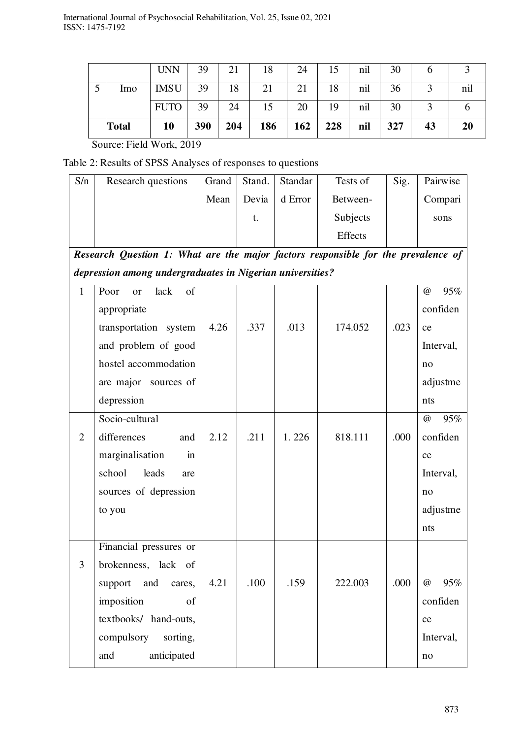| lmo          | <b>IMSU</b><br><b>FUTO</b> | 39<br>39 | 18<br>24 | 21<br>15 | 21<br>20 | 18<br>19 | nil<br>nil | 36<br>30 |    | nıl |
|--------------|----------------------------|----------|----------|----------|----------|----------|------------|----------|----|-----|
| <b>Total</b> | 10                         | 390      | 204      | 186      | 162      | 228      | nil        | 327      | 43 | 20  |

Source: Field Work, 2019

Table 2: Results of SPSS Analyses of responses to questions

| S/n                                                       | Research questions                                                                | Grand | Stand. | Standar | Tests of | Sig. | Pairwise        |  |  |
|-----------------------------------------------------------|-----------------------------------------------------------------------------------|-------|--------|---------|----------|------|-----------------|--|--|
|                                                           |                                                                                   | Mean  | Devia  | d Error | Between- |      | Compari         |  |  |
|                                                           |                                                                                   |       | t.     |         | Subjects |      | sons            |  |  |
|                                                           |                                                                                   |       |        |         | Effects  |      |                 |  |  |
|                                                           | Research Question 1: What are the major factors responsible for the prevalence of |       |        |         |          |      |                 |  |  |
| depression among undergraduates in Nigerian universities? |                                                                                   |       |        |         |          |      |                 |  |  |
| $\mathbf{1}$                                              | lack<br>of<br>Poor<br><b>or</b>                                                   |       |        |         |          |      | 95%<br>$\omega$ |  |  |
|                                                           | appropriate                                                                       |       |        |         |          |      | confiden        |  |  |
|                                                           | transportation system                                                             | 4.26  | .337   | .013    | 174.052  | .023 | ce              |  |  |
|                                                           | and problem of good                                                               |       |        |         |          |      | Interval,       |  |  |
|                                                           | hostel accommodation                                                              |       |        |         |          |      | no              |  |  |
|                                                           | are major sources of                                                              |       |        |         |          |      | adjustme        |  |  |
|                                                           | depression                                                                        |       |        |         |          |      | nts             |  |  |
|                                                           | Socio-cultural                                                                    |       |        |         |          |      | 95%<br>$\omega$ |  |  |
| $\overline{2}$                                            | differences<br>and                                                                | 2.12  | .211   | 1.226   | 818.111  | .000 | confiden        |  |  |
|                                                           | marginalisation<br>in                                                             |       |        |         |          |      | ce              |  |  |
|                                                           | school<br>leads<br>are                                                            |       |        |         |          |      | Interval,       |  |  |
|                                                           | sources of depression                                                             |       |        |         |          |      | no              |  |  |
|                                                           | to you                                                                            |       |        |         |          |      | adjustme        |  |  |
|                                                           |                                                                                   |       |        |         |          |      | nts             |  |  |
|                                                           | Financial pressures or                                                            |       |        |         |          |      |                 |  |  |
| 3                                                         | brokenness, lack of                                                               |       |        |         |          |      |                 |  |  |
|                                                           | support<br>and<br>cares,                                                          | 4.21  | .100   | .159    | 222.003  | .000 | 95%<br>$\omega$ |  |  |
|                                                           | imposition<br>of                                                                  |       |        |         |          |      | confiden        |  |  |
|                                                           | textbooks/ hand-outs,                                                             |       |        |         |          |      | ce              |  |  |
|                                                           | compulsory<br>sorting,                                                            |       |        |         |          |      | Interval,       |  |  |
|                                                           | anticipated<br>and                                                                |       |        |         |          |      | no              |  |  |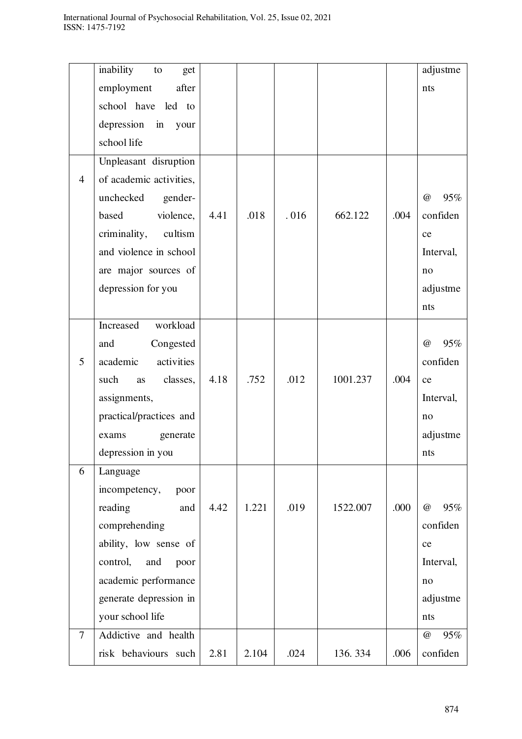|                | inability<br>get<br>to  |      |       |      |          |      | adjustme        |
|----------------|-------------------------|------|-------|------|----------|------|-----------------|
|                | employment<br>after     |      |       |      |          |      | nts             |
|                | school have led to      |      |       |      |          |      |                 |
|                | depression in<br>your   |      |       |      |          |      |                 |
|                | school life             |      |       |      |          |      |                 |
|                | Unpleasant disruption   |      |       |      |          |      |                 |
| $\overline{4}$ | of academic activities, |      |       |      |          |      |                 |
|                | unchecked<br>gender-    |      |       |      |          |      | 95%<br>$\omega$ |
|                | violence,<br>based      | 4.41 | .018  | .016 | 662.122  | .004 | confiden        |
|                | criminality, cultism    |      |       |      |          |      | ce              |
|                | and violence in school  |      |       |      |          |      | Interval,       |
|                | are major sources of    |      |       |      |          |      | no              |
|                | depression for you      |      |       |      |          |      | adjustme        |
|                |                         |      |       |      |          |      | nts             |
|                | Increased<br>workload   |      |       |      |          |      |                 |
|                | Congested<br>and        |      |       |      |          |      | 95%<br>$\omega$ |
| 5              | academic<br>activities  |      |       |      |          |      | confiden        |
|                | such<br>classes,<br>as  | 4.18 | .752  | .012 | 1001.237 | .004 | ce              |
|                | assignments,            |      |       |      |          |      | Interval,       |
|                | practical/practices and |      |       |      |          |      | no              |
|                | generate<br>exams       |      |       |      |          |      | adjustme        |
|                | depression in you       |      |       |      |          |      | nts             |
| 6              | Language                |      |       |      |          |      |                 |
|                | incompetency,<br>poor   |      |       |      |          |      |                 |
|                | reading<br>and          | 4.42 | 1.221 | .019 | 1522.007 | .000 | 95%<br>@        |
|                | comprehending           |      |       |      |          |      | confiden        |
|                | ability, low sense of   |      |       |      |          |      | ce              |
|                | control,<br>and<br>poor |      |       |      |          |      | Interval,       |
|                | academic performance    |      |       |      |          |      | no              |
|                | generate depression in  |      |       |      |          |      | adjustme        |
|                | your school life        |      |       |      |          |      | nts             |
| $\overline{7}$ | Addictive and health    |      |       |      |          |      | 95%<br>$\omega$ |
|                | risk behaviours such    | 2.81 | 2.104 | .024 | 136.334  | .006 | confiden        |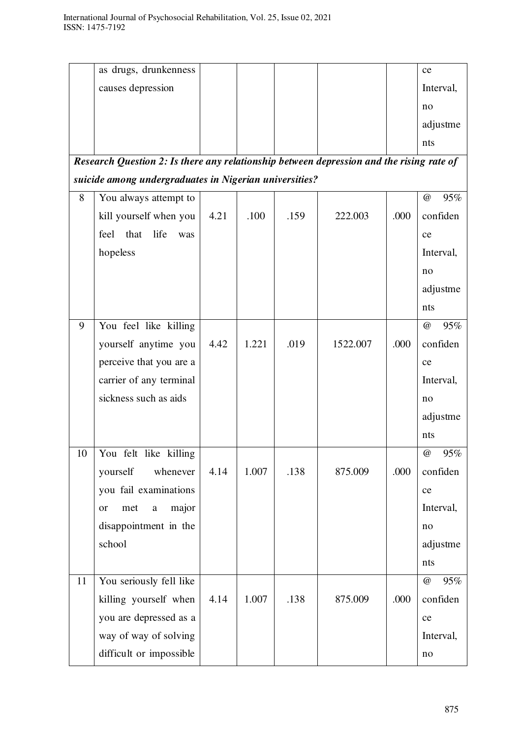|    | as drugs, drunkenness                                                                    |      |       |      |          |      | ce              |
|----|------------------------------------------------------------------------------------------|------|-------|------|----------|------|-----------------|
|    | causes depression                                                                        |      |       |      |          |      | Interval,       |
|    |                                                                                          |      |       |      |          |      | no              |
|    |                                                                                          |      |       |      |          |      | adjustme        |
|    |                                                                                          |      |       |      |          |      | nts             |
|    | Research Question 2: Is there any relationship between depression and the rising rate of |      |       |      |          |      |                 |
|    | suicide among undergraduates in Nigerian universities?                                   |      |       |      |          |      |                 |
| 8  | You always attempt to                                                                    |      |       |      |          |      | 95%<br>$\omega$ |
|    | kill yourself when you                                                                   | 4.21 | .100  | .159 | 222.003  | .000 | confiden        |
|    | feel<br>that<br>life<br>was                                                              |      |       |      |          |      | ce              |
|    | hopeless                                                                                 |      |       |      |          |      | Interval,       |
|    |                                                                                          |      |       |      |          |      | no              |
|    |                                                                                          |      |       |      |          |      | adjustme        |
|    |                                                                                          |      |       |      |          |      | nts             |
| 9  | You feel like killing                                                                    |      |       |      |          |      | 95%<br>$\omega$ |
|    | yourself anytime you                                                                     | 4.42 | 1.221 | .019 | 1522.007 | .000 | confiden        |
|    | perceive that you are a                                                                  |      |       |      |          |      | ce              |
|    | carrier of any terminal                                                                  |      |       |      |          |      | Interval,       |
|    | sickness such as aids                                                                    |      |       |      |          |      | no              |
|    |                                                                                          |      |       |      |          |      | adjustme        |
|    |                                                                                          |      |       |      |          |      | nts             |
| 10 | You felt like killing                                                                    |      |       |      |          |      | 95%<br>$\omega$ |
|    | yourself<br>whenever                                                                     | 4.14 | 1.007 | .138 | 875.009  | .000 | confiden        |
|    | you fail examinations                                                                    |      |       |      |          |      | ce              |
|    | major<br>met<br>$\rm{a}$<br>or                                                           |      |       |      |          |      | Interval,       |
|    | disappointment in the                                                                    |      |       |      |          |      | no              |
|    | school                                                                                   |      |       |      |          |      | adjustme        |
|    |                                                                                          |      |       |      |          |      | nts             |
| 11 | You seriously fell like                                                                  |      |       |      |          |      | 95%<br>$\omega$ |
|    | killing yourself when                                                                    | 4.14 | 1.007 | .138 | 875.009  | .000 | confiden        |
|    | you are depressed as a                                                                   |      |       |      |          |      | ce              |
|    | way of way of solving                                                                    |      |       |      |          |      | Interval,       |
|    | difficult or impossible                                                                  |      |       |      |          |      | $\rm no$        |